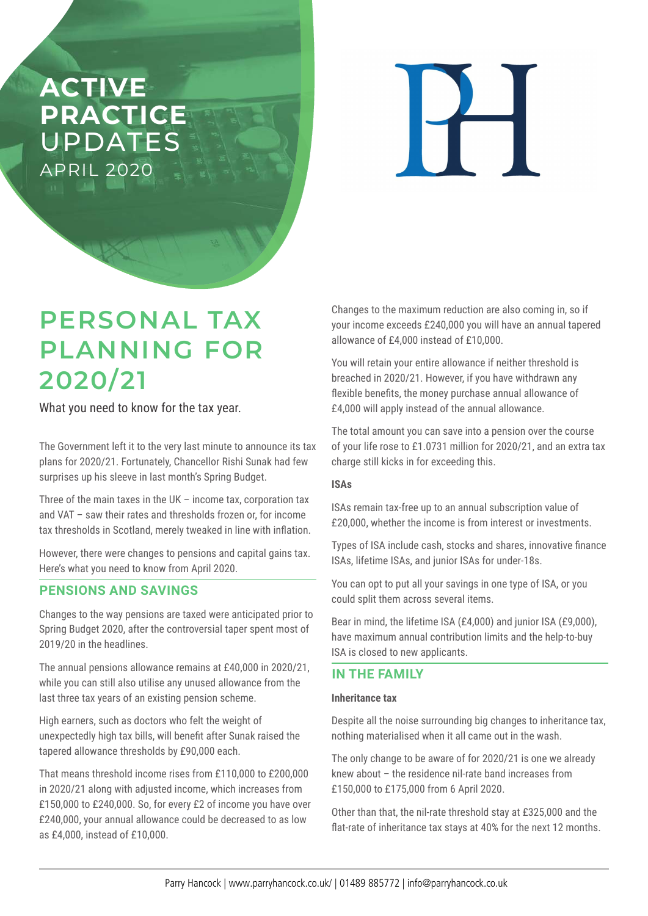# **ACTIVE PRACTICE**  UPDATES APRIL 2020

 $\overline{\blacksquare}$ 

# **PERSONAL TAX PLANNING FOR 2020/21**

What you need to know for the tax year.

The Government left it to the very last minute to announce its tax plans for 2020/21. Fortunately, Chancellor Rishi Sunak had few surprises up his sleeve in last month's Spring Budget.

Three of the main taxes in the UK – income tax, corporation tax and VAT – saw their rates and thresholds frozen or, for income tax thresholds in Scotland, merely tweaked in line with inflation.

However, there were changes to pensions and capital gains tax. Here's what you need to know from April 2020.

### **PENSIONS AND SAVINGS**

Changes to the way pensions are taxed were anticipated prior to Spring Budget 2020, after the controversial taper spent most of 2019/20 in the headlines.

The annual pensions allowance remains at £40,000 in 2020/21, while you can still also utilise any unused allowance from the last three tax years of an existing pension scheme.

High earners, such as doctors who felt the weight of unexpectedly high tax bills, will benefit after Sunak raised the tapered allowance thresholds by £90,000 each.

That means threshold income rises from £110,000 to £200,000 in 2020/21 along with adjusted income, which increases from £150,000 to £240,000. So, for every £2 of income you have over £240,000, your annual allowance could be decreased to as low as £4,000, instead of £10,000.

Changes to the maximum reduction are also coming in, so if your income exceeds £240,000 you will have an annual tapered allowance of £4,000 instead of £10,000.

You will retain your entire allowance if neither threshold is breached in 2020/21. However, if you have withdrawn any flexible benefits, the money purchase annual allowance of £4,000 will apply instead of the annual allowance.

The total amount you can save into a pension over the course of your life rose to £1.0731 million for 2020/21, and an extra tax charge still kicks in for exceeding this.

#### **ISAs**

ISAs remain tax-free up to an annual subscription value of £20,000, whether the income is from interest or investments.

Types of ISA include cash, stocks and shares, innovative finance ISAs, lifetime ISAs, and junior ISAs for under-18s.

You can opt to put all your savings in one type of ISA, or you could split them across several items.

Bear in mind, the lifetime ISA (£4,000) and junior ISA (£9,000), have maximum annual contribution limits and the help-to-buy ISA is closed to new applicants.

### **IN THE FAMILY**

#### **Inheritance tax**

Despite all the noise surrounding big changes to inheritance tax, nothing materialised when it all came out in the wash.

The only change to be aware of for 2020/21 is one we already knew about – the residence nil-rate band increases from £150,000 to £175,000 from 6 April 2020.

Other than that, the nil-rate threshold stay at £325,000 and the flat-rate of inheritance tax stays at 40% for the next 12 months.